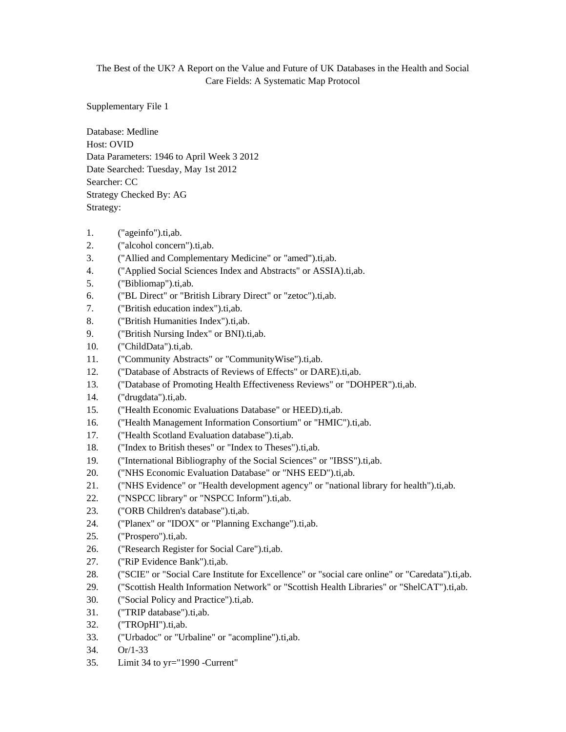## The Best of the UK? A Report on the Value and Future of UK Databases in the Health and Social Care Fields: A Systematic Map Protocol

Supplementary File 1

Database: Medline Host: OVID Data Parameters: 1946 to April Week 3 2012 Date Searched: Tuesday, May 1st 2012 Searcher: CC Strategy Checked By: AG Strategy:

- 1. ("ageinfo").ti,ab.
- 2. ("alcohol concern").ti,ab.
- 3. ("Allied and Complementary Medicine" or "amed").ti,ab.
- 4. ("Applied Social Sciences Index and Abstracts" or ASSIA).ti,ab.
- 5. ("Bibliomap").ti,ab.
- 6. ("BL Direct" or "British Library Direct" or "zetoc").ti,ab.
- 7. ("British education index").ti,ab.
- 8. ("British Humanities Index").ti,ab.
- 9. ("British Nursing Index" or BNI).ti,ab.
- 10. ("ChildData").ti,ab.
- 11. ("Community Abstracts" or "CommunityWise").ti,ab.
- 12. ("Database of Abstracts of Reviews of Effects" or DARE).ti,ab.
- 13. ("Database of Promoting Health Effectiveness Reviews" or "DOHPER").ti,ab.
- 14. ("drugdata").ti,ab.
- 15. ("Health Economic Evaluations Database" or HEED).ti,ab.
- 16. ("Health Management Information Consortium" or "HMIC").ti,ab.
- 17. ("Health Scotland Evaluation database").ti,ab.
- 18. ("Index to British theses" or "Index to Theses").ti,ab.
- 19. ("International Bibliography of the Social Sciences" or "IBSS").ti,ab.
- 20. ("NHS Economic Evaluation Database" or "NHS EED").ti,ab.
- 21. ("NHS Evidence" or "Health development agency" or "national library for health").ti,ab.
- 22. ("NSPCC library" or "NSPCC Inform").ti,ab.
- 23. ("ORB Children's database").ti,ab.
- 24. ("Planex" or "IDOX" or "Planning Exchange").ti,ab.
- 25. ("Prospero").ti,ab.
- 26. ("Research Register for Social Care").ti,ab.
- 27. ("RiP Evidence Bank").ti,ab.
- 28. ("SCIE" or "Social Care Institute for Excellence" or "social care online" or "Caredata").ti,ab.
- 29. ("Scottish Health Information Network" or "Scottish Health Libraries" or "ShelCAT").ti,ab.
- 30. ("Social Policy and Practice").ti,ab.
- 31. ("TRIP database").ti,ab.
- 32. ("TROpHI").ti,ab.
- 33. ("Urbadoc" or "Urbaline" or "acompline").ti,ab.
- 34. Or/1-33
- 35. Limit 34 to yr="1990 -Current"